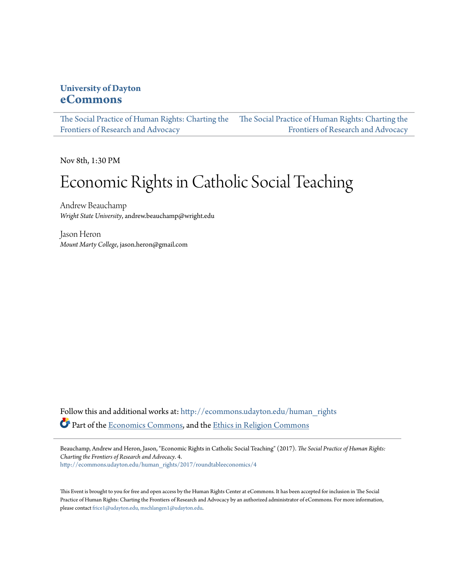### **University of Dayton [eCommons](http://ecommons.udayton.edu?utm_source=ecommons.udayton.edu%2Fhuman_rights%2F2017%2Froundtableeconomics%2F4&utm_medium=PDF&utm_campaign=PDFCoverPages)**

[The Social Practice of Human Rights: Charting the](http://ecommons.udayton.edu/human_rights?utm_source=ecommons.udayton.edu%2Fhuman_rights%2F2017%2Froundtableeconomics%2F4&utm_medium=PDF&utm_campaign=PDFCoverPages) [The Social Practice of Human Rights: Charting the](http://ecommons.udayton.edu/human_rights/2017?utm_source=ecommons.udayton.edu%2Fhuman_rights%2F2017%2Froundtableeconomics%2F4&utm_medium=PDF&utm_campaign=PDFCoverPages) [Frontiers of Research and Advocacy](http://ecommons.udayton.edu/human_rights?utm_source=ecommons.udayton.edu%2Fhuman_rights%2F2017%2Froundtableeconomics%2F4&utm_medium=PDF&utm_campaign=PDFCoverPages) [Frontiers of Research and Advocacy](http://ecommons.udayton.edu/human_rights/2017?utm_source=ecommons.udayton.edu%2Fhuman_rights%2F2017%2Froundtableeconomics%2F4&utm_medium=PDF&utm_campaign=PDFCoverPages)

Nov 8th, 1:30 PM

# Economic Rights in Catholic Social Teaching

Andrew Beauchamp *Wright State University*, andrew.beauchamp@wright.edu

Jason Heron *Mount Marty College*, jason.heron@gmail.com

Follow this and additional works at: [http://ecommons.udayton.edu/human\\_rights](http://ecommons.udayton.edu/human_rights?utm_source=ecommons.udayton.edu%2Fhuman_rights%2F2017%2Froundtableeconomics%2F4&utm_medium=PDF&utm_campaign=PDFCoverPages) Part of the [Economics Commons,](http://network.bepress.com/hgg/discipline/340?utm_source=ecommons.udayton.edu%2Fhuman_rights%2F2017%2Froundtableeconomics%2F4&utm_medium=PDF&utm_campaign=PDFCoverPages) and the [Ethics in Religion Commons](http://network.bepress.com/hgg/discipline/541?utm_source=ecommons.udayton.edu%2Fhuman_rights%2F2017%2Froundtableeconomics%2F4&utm_medium=PDF&utm_campaign=PDFCoverPages)

Beauchamp, Andrew and Heron, Jason, "Economic Rights in Catholic Social Teaching" (2017). *The Social Practice of Human Rights: Charting the Frontiers of Research and Advocacy*. 4. [http://ecommons.udayton.edu/human\\_rights/2017/roundtableeconomics/4](http://ecommons.udayton.edu/human_rights/2017/roundtableeconomics/4?utm_source=ecommons.udayton.edu%2Fhuman_rights%2F2017%2Froundtableeconomics%2F4&utm_medium=PDF&utm_campaign=PDFCoverPages)

This Event is brought to you for free and open access by the Human Rights Center at eCommons. It has been accepted for inclusion in The Social Practice of Human Rights: Charting the Frontiers of Research and Advocacy by an authorized administrator of eCommons. For more information, please contact [frice1@udayton.edu, mschlangen1@udayton.edu.](mailto:frice1@udayton.edu,%20mschlangen1@udayton.edu)